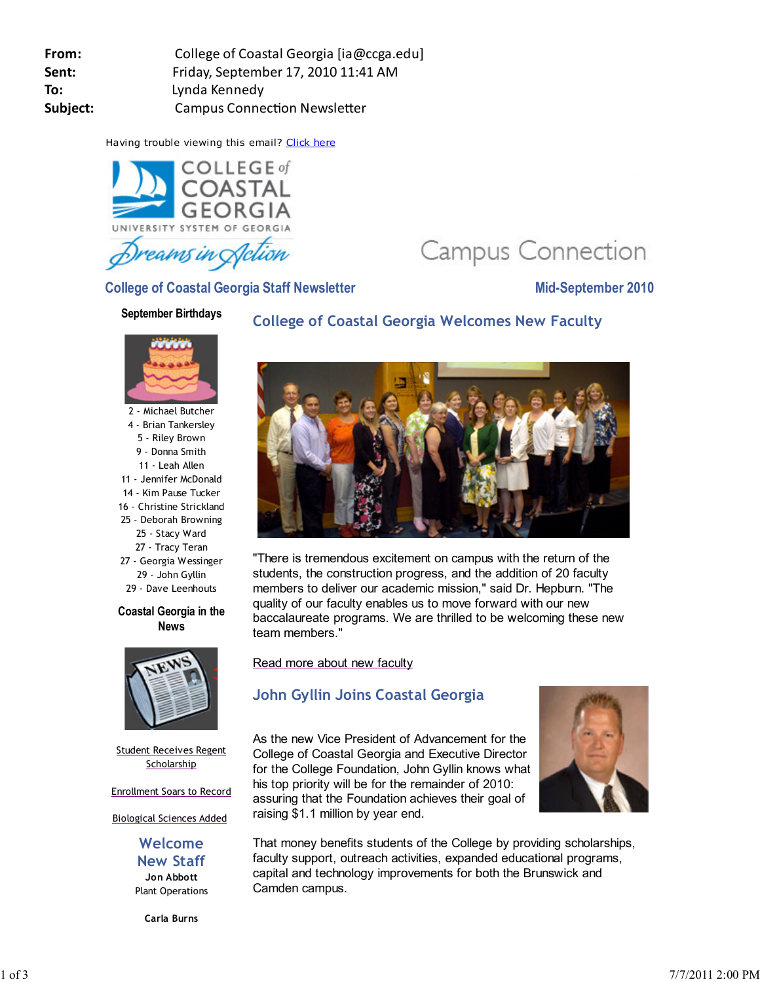| College of Coastal Georgia [ia@ccga.edu] |
|------------------------------------------|
| Friday, September 17, 2010 11:41 AM      |
| Lynda Kennedy                            |
| <b>Campus Connection Newsletter</b>      |
|                                          |

Having trouble viewing this email? Click here



Campus Connection

**College of Coastal Georgia Staff Newsletter Mid-September 2010** 

#### **September Birthdays**

# **College of Coastal Georgia Welcomes New Faculty**



2 - Michael Butcher 4 - Brian Tankersley 5 - Riley Brown 9 - Donna Smith 11 - Leah Allen 11 - Jennifer McDonald 14 - Kim Pause Tucker 16 - Christine Strickland 25 - Deborah Browning 25 - Stacy Ward 27 - Tracy Teran 27 - Georgia Wessinger 29 - John Gyllin 29 - Dave Leenhouts

#### **Coastal Georgia in the News**



Student Receives Regent **Scholarship** 

Enrollment Soars to Record

Biological Sciences Added

**Welcome New Staff Jon Abbott** Plant Operations

**Carla Burns**



"There is tremendous excitement on campus with the return of the students, the construction progress, and the addition of 20 faculty members to deliver our academic mission," said Dr. Hepburn. "The quality of our faculty enables us to move forward with our new baccalaureate programs. We are thrilled to be welcoming these new team members."

Read more about new faculty

# **John Gyllin Joins Coastal Georgia**

As the new Vice President of Advancement for the College of Coastal Georgia and Executive Director for the College Foundation, John Gyllin knows what his top priority will be for the remainder of 2010: assuring that the Foundation achieves their goal of raising \$1.1 million by year end.



That money benefits students of the College by providing scholarships, faculty support, outreach activities, expanded educational programs, capital and technology improvements for both the Brunswick and Camden campus.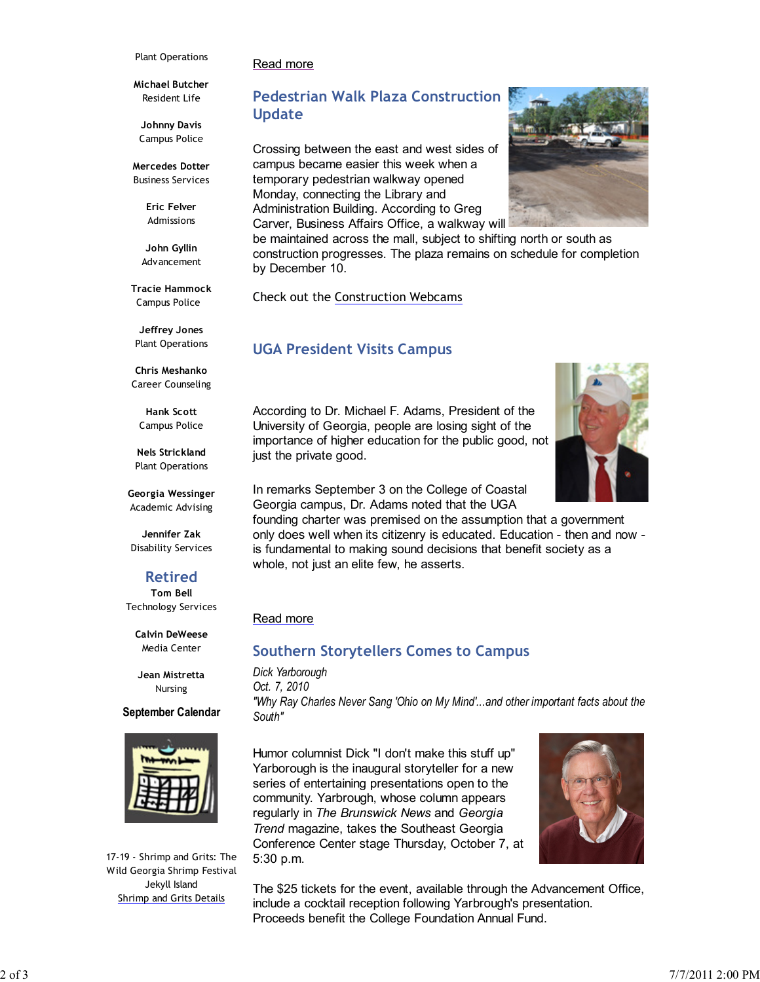#### Plant Operations

#### Read more

**Michael Butcher** Resident Life

**Johnny Davis** Campus Police

**Mercedes Dotter** Business Services

> **Eric Felver** Admissions

**John Gyllin** Advancement

**Tracie Hammock** Campus Police

**Jeffrey Jones** Plant Operations

**Chris Meshanko** Career Counseling

**Hank Scott** Campus Police

**Nels Strickland** Plant Operations

**Georgia Wessinger** Academic Advising

**Jennifer Zak** Disability Services

#### **Retired Tom Bell**

Technology Services

**Calvin DeWeese** Media Center

**Jean Mistretta** Nursing

#### **September Calendar**



17-19 - Shrimp and Grits: The Wild Georgia Shrimp Festival Jekyll Island Shrimp and Grits Details

# **Pedestrian Walk Plaza Construction Update**

Crossing between the east and west sides of campus became easier this week when a temporary pedestrian walkway opened Monday, connecting the Library and Administration Building. According to Greg Carver, Business Affairs Office, a walkway will

be maintained across the mall, subject to shifting north or south as construction progresses. The plaza remains on schedule for completion by December 10.

Check out the Construction Webcams

### **UGA President Visits Campus**

According to Dr. Michael F. Adams, President of the University of Georgia, people are losing sight of the importance of higher education for the public good, not just the private good.

In remarks September 3 on the College of Coastal Georgia campus, Dr. Adams noted that the UGA

founding charter was premised on the assumption that a government only does well when its citizenry is educated. Education - then and now is fundamental to making sound decisions that benefit society as a whole, not just an elite few, he asserts.

#### Read more

### **Southern Storytellers Comes to Campus**

*Dick Yarborough Oct. 7, 2010 "Why Ray Charles Never Sang 'Ohio on My Mind'...and other important facts about the South"*

Humor columnist Dick "I don't make this stuff up" Yarborough is the inaugural storyteller for a new series of entertaining presentations open to the community. Yarbrough, whose column appears regularly in *The Brunswick News* and *Georgia Trend* magazine, takes the Southeast Georgia Conference Center stage Thursday, October 7, at 5:30 p.m.



The \$25 tickets for the event, available through the Advancement Office, include a cocktail reception following Yarbrough's presentation. Proceeds benefit the College Foundation Annual Fund.